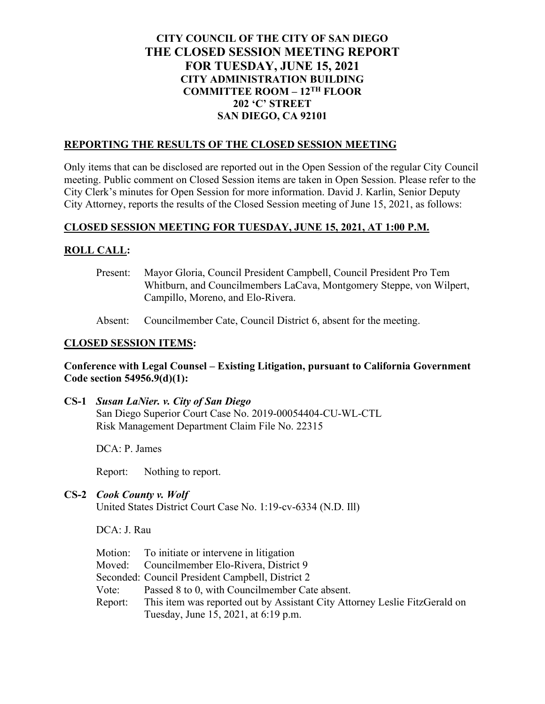# **CITY COUNCIL OF THE CITY OF SAN DIEGO THE CLOSED SESSION MEETING REPORT FOR TUESDAY, JUNE 15, 2021 CITY ADMINISTRATION BUILDING COMMITTEE ROOM – 12TH FLOOR 202 'C' STREET SAN DIEGO, CA 92101**

## **REPORTING THE RESULTS OF THE CLOSED SESSION MEETING**

Only items that can be disclosed are reported out in the Open Session of the regular City Council meeting. Public comment on Closed Session items are taken in Open Session. Please refer to the City Clerk's minutes for Open Session for more information. David J. Karlin, Senior Deputy City Attorney, reports the results of the Closed Session meeting of June 15, 2021, as follows:

## **CLOSED SESSION MEETING FOR TUESDAY, JUNE 15, 2021, AT 1:00 P.M.**

## **ROLL CALL:**

Present: Mayor Gloria, Council President Campbell, Council President Pro Tem Whitburn, and Councilmembers LaCava, Montgomery Steppe, von Wilpert, Campillo, Moreno, and Elo-Rivera.

Absent: Councilmember Cate, Council District 6, absent for the meeting.

#### **CLOSED SESSION ITEMS:**

#### **Conference with Legal Counsel – Existing Litigation, pursuant to California Government Code section 54956.9(d)(1):**

**CS-1** *Susan LaNier. v. City of San Diego* San Diego Superior Court Case No. 2019-00054404-CU-WL-CTL Risk Management Department Claim File No. 22315

DCA: P. James

Report: Nothing to report.

**CS-2** *Cook County v. Wolf* United States District Court Case No. 1:19-cv-6334 (N.D. Ill)

DCA: J. Rau

|         | Motion: To initiate or intervene in litigation                             |
|---------|----------------------------------------------------------------------------|
|         | Moved: Councilmember Elo-Rivera, District 9                                |
|         | Seconded: Council President Campbell, District 2                           |
| Vote:   | Passed 8 to 0, with Councilmember Cate absent.                             |
| Report: | This item was reported out by Assistant City Attorney Leslie FitzGerald on |
|         | Tuesday, June 15, 2021, at 6:19 p.m.                                       |